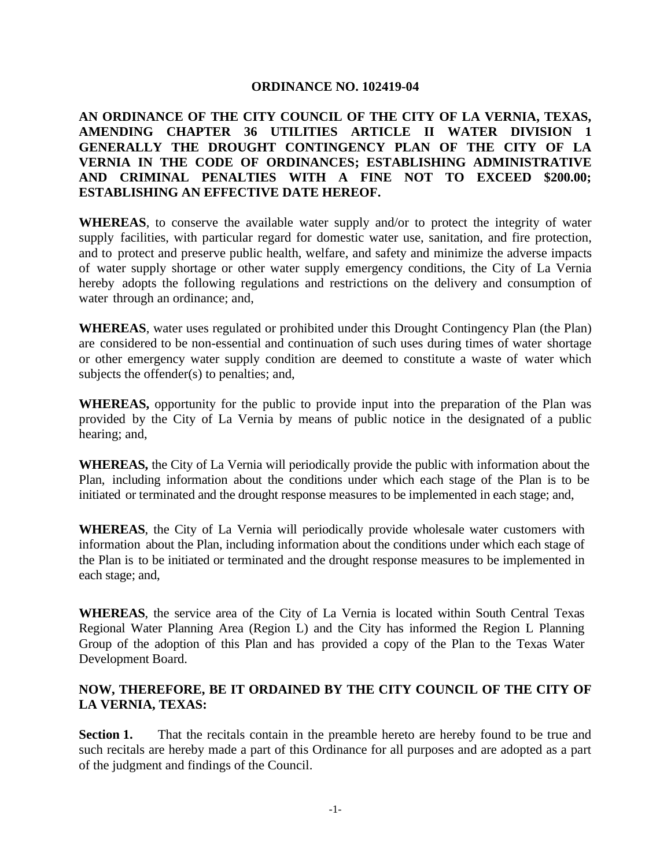### **ORDINANCE NO. 102419-04**

### **AN ORDINANCE OF THE CITY COUNCIL OF THE CITY OF LA VERNIA, TEXAS, AMENDING CHAPTER 36 UTILITIES ARTICLE II WATER DIVISION 1 GENERALLY THE DROUGHT CONTINGENCY PLAN OF THE CITY OF LA VERNIA IN THE CODE OF ORDINANCES; ESTABLISHING ADMINISTRATIVE AND CRIMINAL PENALTIES WITH A FINE NOT TO EXCEED \$200.00; ESTABLISHING AN EFFECTIVE DATE HEREOF.**

**WHEREAS**, to conserve the available water supply and/or to protect the integrity of water supply facilities, with particular regard for domestic water use, sanitation, and fire protection, and to protect and preserve public health, welfare, and safety and minimize the adverse impacts of water supply shortage or other water supply emergency conditions, the City of La Vernia hereby adopts the following regulations and restrictions on the delivery and consumption of water through an ordinance; and,

**WHEREAS**, water uses regulated or prohibited under this Drought Contingency Plan (the Plan) are considered to be non-essential and continuation of such uses during times of water shortage or other emergency water supply condition are deemed to constitute a waste of water which subjects the offender(s) to penalties; and,

**WHEREAS,** opportunity for the public to provide input into the preparation of the Plan was provided by the City of La Vernia by means of public notice in the designated of a public hearing; and,

**WHEREAS,** the City of La Vernia will periodically provide the public with information about the Plan, including information about the conditions under which each stage of the Plan is to be initiated or terminated and the drought response measures to be implemented in each stage; and,

**WHEREAS**, the City of La Vernia will periodically provide wholesale water customers with information about the Plan, including information about the conditions under which each stage of the Plan is to be initiated or terminated and the drought response measures to be implemented in each stage; and,

**WHEREAS**, the service area of the City of La Vernia is located within South Central Texas Regional Water Planning Area (Region L) and the City has informed the Region L Planning Group of the adoption of this Plan and has provided a copy of the Plan to the Texas Water Development Board.

### **NOW, THEREFORE, BE IT ORDAINED BY THE CITY COUNCIL OF THE CITY OF LA VERNIA, TEXAS:**

**Section 1.** That the recitals contain in the preamble hereto are hereby found to be true and such recitals are hereby made a part of this Ordinance for all purposes and are adopted as a part of the judgment and findings of the Council.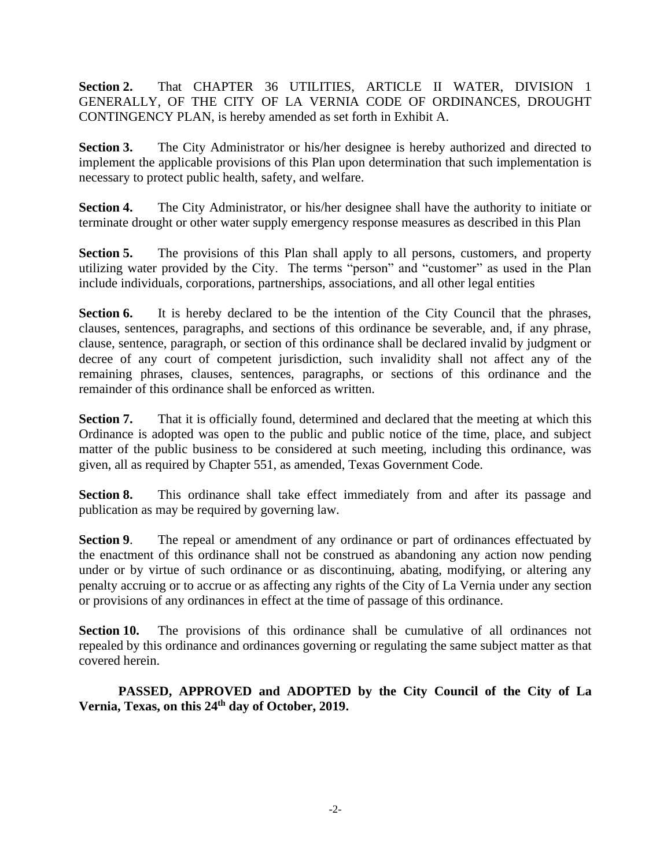**Section 2.** That CHAPTER 36 UTILITIES, ARTICLE II WATER, DIVISION 1 GENERALLY, OF THE CITY OF LA VERNIA CODE OF ORDINANCES, DROUGHT CONTINGENCY PLAN, is hereby amended as set forth in Exhibit A.

**Section 3.** The City Administrator or his/her designee is hereby authorized and directed to implement the applicable provisions of this Plan upon determination that such implementation is necessary to protect public health, safety, and welfare.

**Section 4.** The City Administrator, or his/her designee shall have the authority to initiate or terminate drought or other water supply emergency response measures as described in this Plan

**Section 5.** The provisions of this Plan shall apply to all persons, customers, and property utilizing water provided by the City. The terms "person" and "customer" as used in the Plan include individuals, corporations, partnerships, associations, and all other legal entities

**Section 6.** It is hereby declared to be the intention of the City Council that the phrases, clauses, sentences, paragraphs, and sections of this ordinance be severable, and, if any phrase, clause, sentence, paragraph, or section of this ordinance shall be declared invalid by judgment or decree of any court of competent jurisdiction, such invalidity shall not affect any of the remaining phrases, clauses, sentences, paragraphs, or sections of this ordinance and the remainder of this ordinance shall be enforced as written.

**Section 7.** That it is officially found, determined and declared that the meeting at which this Ordinance is adopted was open to the public and public notice of the time, place, and subject matter of the public business to be considered at such meeting, including this ordinance, was given, all as required by Chapter 551, as amended, Texas Government Code.

**Section 8.** This ordinance shall take effect immediately from and after its passage and publication as may be required by governing law.

**Section 9.** The repeal or amendment of any ordinance or part of ordinances effectuated by the enactment of this ordinance shall not be construed as abandoning any action now pending under or by virtue of such ordinance or as discontinuing, abating, modifying, or altering any penalty accruing or to accrue or as affecting any rights of the City of La Vernia under any section or provisions of any ordinances in effect at the time of passage of this ordinance.

**Section 10.** The provisions of this ordinance shall be cumulative of all ordinances not repealed by this ordinance and ordinances governing or regulating the same subject matter as that covered herein.

**PASSED, APPROVED and ADOPTED by the City Council of the City of La Vernia, Texas, on this 24th day of October, 2019.**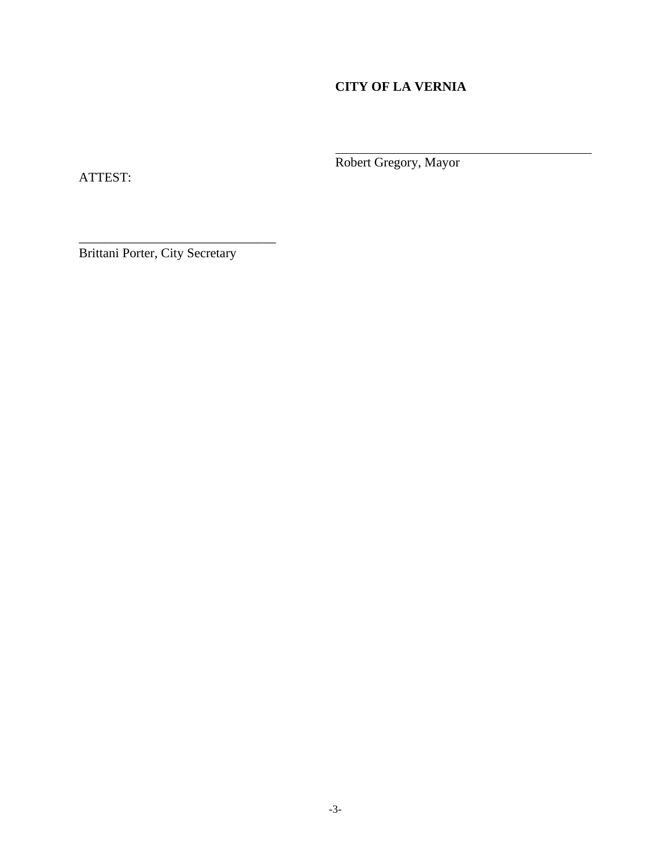# **CITY OF LA VERNIA**

Robert Gregory, Mayor

ATTEST:

Brittani Porter, City Secretary

\_\_\_\_\_\_\_\_\_\_\_\_\_\_\_\_\_\_\_\_\_\_\_\_\_\_\_\_\_\_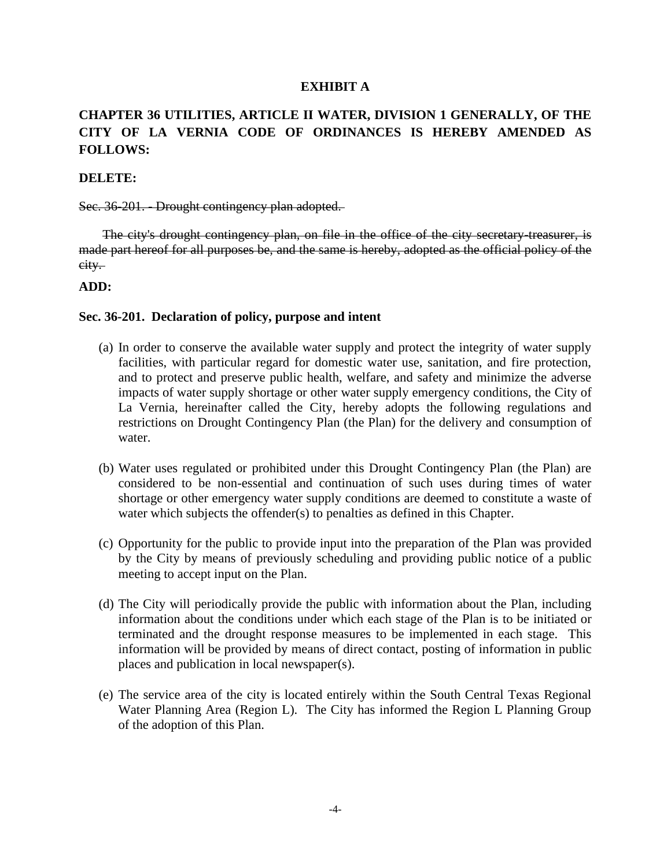#### **EXHIBIT A**

# **CHAPTER 36 UTILITIES, ARTICLE II WATER, DIVISION 1 GENERALLY, OF THE CITY OF LA VERNIA CODE OF ORDINANCES IS HEREBY AMENDED AS FOLLOWS:**

#### **DELETE:**

#### Sec. 36-201. Drought contingency plan adopted.

The city's drought contingency plan, on file in the office of the city secretary treasurer, is made part hereof for all purposes be, and the same is hereby, adopted as the official policy of the city.

#### **ADD:**

#### **Sec. 36-201. Declaration of policy, purpose and intent**

- (a) In order to conserve the available water supply and protect the integrity of water supply facilities, with particular regard for domestic water use, sanitation, and fire protection, and to protect and preserve public health, welfare, and safety and minimize the adverse impacts of water supply shortage or other water supply emergency conditions, the City of La Vernia, hereinafter called the City, hereby adopts the following regulations and restrictions on Drought Contingency Plan (the Plan) for the delivery and consumption of water.
- (b) Water uses regulated or prohibited under this Drought Contingency Plan (the Plan) are considered to be non-essential and continuation of such uses during times of water shortage or other emergency water supply conditions are deemed to constitute a waste of water which subjects the offender(s) to penalties as defined in this Chapter.
- (c) Opportunity for the public to provide input into the preparation of the Plan was provided by the City by means of previously scheduling and providing public notice of a public meeting to accept input on the Plan.
- (d) The City will periodically provide the public with information about the Plan, including information about the conditions under which each stage of the Plan is to be initiated or terminated and the drought response measures to be implemented in each stage. This information will be provided by means of direct contact, posting of information in public places and publication in local newspaper(s).
- (e) The service area of the city is located entirely within the South Central Texas Regional Water Planning Area (Region L). The City has informed the Region L Planning Group of the adoption of this Plan.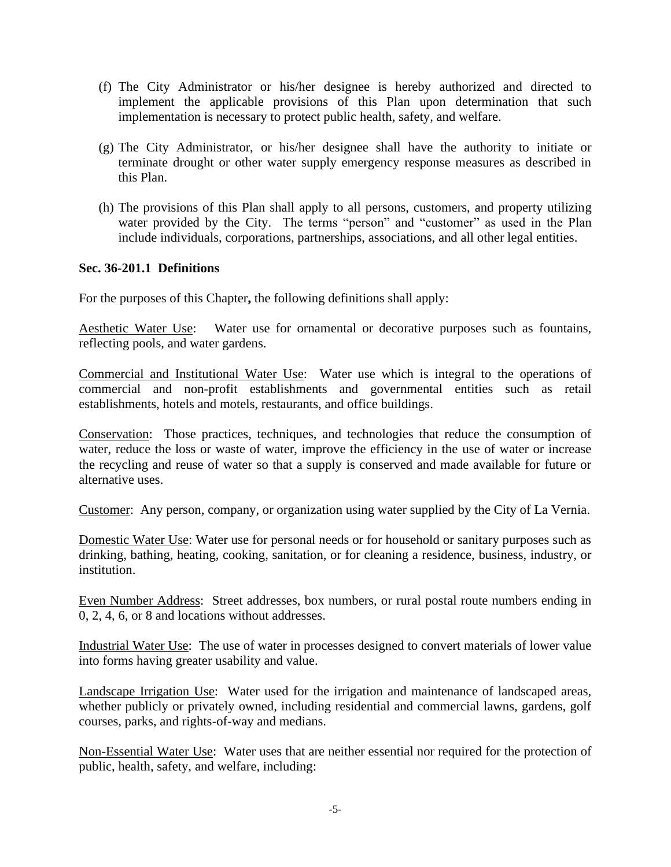- (f) The City Administrator or his/her designee is hereby authorized and directed to implement the applicable provisions of this Plan upon determination that such implementation is necessary to protect public health, safety, and welfare.
- (g) The City Administrator, or his/her designee shall have the authority to initiate or terminate drought or other water supply emergency response measures as described in this Plan.
- (h) The provisions of this Plan shall apply to all persons, customers, and property utilizing water provided by the City. The terms "person" and "customer" as used in the Plan include individuals, corporations, partnerships, associations, and all other legal entities.

### **Sec. 36-201.1 Definitions**

For the purposes of this Chapter**,** the following definitions shall apply:

Aesthetic Water Use: Water use for ornamental or decorative purposes such as fountains, reflecting pools, and water gardens.

Commercial and Institutional Water Use: Water use which is integral to the operations of commercial and non-profit establishments and governmental entities such as retail establishments, hotels and motels, restaurants, and office buildings.

Conservation: Those practices, techniques, and technologies that reduce the consumption of water, reduce the loss or waste of water, improve the efficiency in the use of water or increase the recycling and reuse of water so that a supply is conserved and made available for future or alternative uses.

Customer: Any person, company, or organization using water supplied by the City of La Vernia.

Domestic Water Use: Water use for personal needs or for household or sanitary purposes such as drinking, bathing, heating, cooking, sanitation, or for cleaning a residence, business, industry, or institution.

Even Number Address: Street addresses, box numbers, or rural postal route numbers ending in 0, 2, 4, 6, or 8 and locations without addresses.

Industrial Water Use: The use of water in processes designed to convert materials of lower value into forms having greater usability and value.

Landscape Irrigation Use: Water used for the irrigation and maintenance of landscaped areas, whether publicly or privately owned, including residential and commercial lawns, gardens, golf courses, parks, and rights-of-way and medians.

Non-Essential Water Use: Water uses that are neither essential nor required for the protection of public, health, safety, and welfare, including: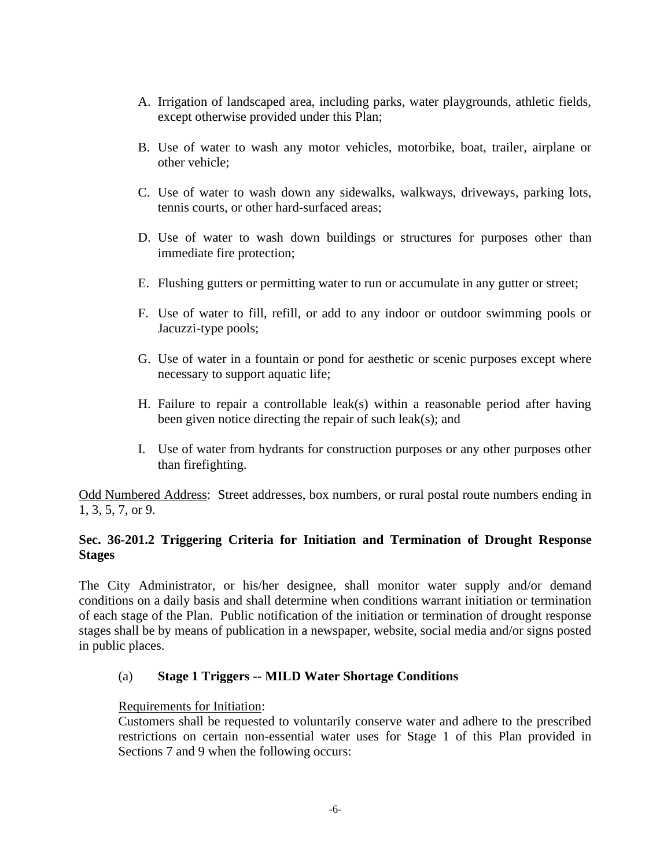- A. Irrigation of landscaped area, including parks, water playgrounds, athletic fields, except otherwise provided under this Plan;
- B. Use of water to wash any motor vehicles, motorbike, boat, trailer, airplane or other vehicle;
- C. Use of water to wash down any sidewalks, walkways, driveways, parking lots, tennis courts, or other hard-surfaced areas;
- D. Use of water to wash down buildings or structures for purposes other than immediate fire protection;
- E. Flushing gutters or permitting water to run or accumulate in any gutter or street;
- F. Use of water to fill, refill, or add to any indoor or outdoor swimming pools or Jacuzzi-type pools;
- G. Use of water in a fountain or pond for aesthetic or scenic purposes except where necessary to support aquatic life;
- H. Failure to repair a controllable leak(s) within a reasonable period after having been given notice directing the repair of such leak(s); and
- I. Use of water from hydrants for construction purposes or any other purposes other than firefighting.

Odd Numbered Address: Street addresses, box numbers, or rural postal route numbers ending in 1, 3, 5, 7, or 9.

### **Sec. 36-201.2 Triggering Criteria for Initiation and Termination of Drought Response Stages**

The City Administrator, or his/her designee, shall monitor water supply and/or demand conditions on a daily basis and shall determine when conditions warrant initiation or termination of each stage of the Plan. Public notification of the initiation or termination of drought response stages shall be by means of publication in a newspaper, website, social media and/or signs posted in public places.

### (a) **Stage 1 Triggers -- MILD Water Shortage Conditions**

### Requirements for Initiation:

Customers shall be requested to voluntarily conserve water and adhere to the prescribed restrictions on certain non-essential water uses for Stage 1 of this Plan provided in Sections 7 and 9 when the following occurs: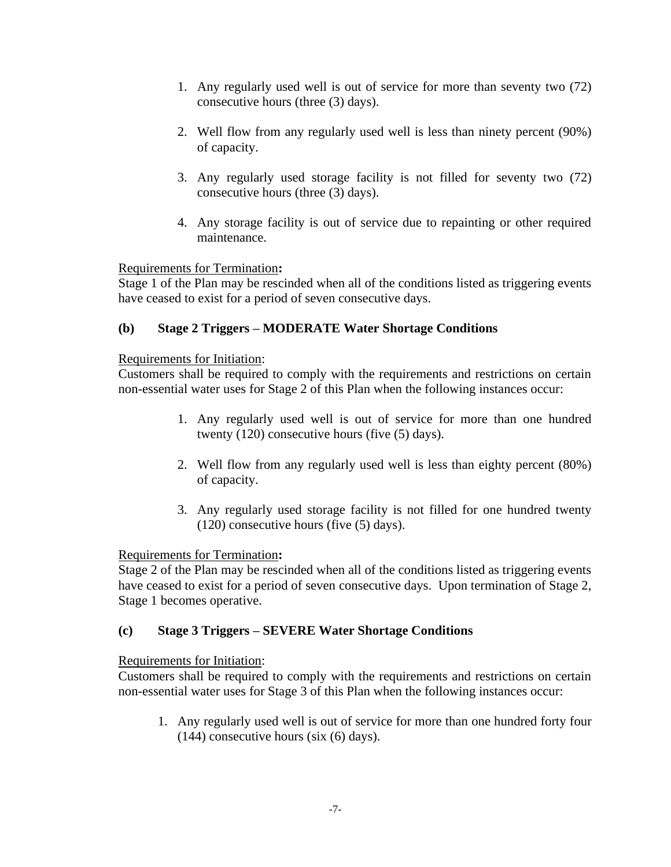- 1. Any regularly used well is out of service for more than seventy two (72) consecutive hours (three (3) days).
- 2. Well flow from any regularly used well is less than ninety percent (90%) of capacity.
- 3. Any regularly used storage facility is not filled for seventy two (72) consecutive hours (three (3) days).
- 4. Any storage facility is out of service due to repainting or other required maintenance.

# Requirements for Termination**:**

Stage 1 of the Plan may be rescinded when all of the conditions listed as triggering events have ceased to exist for a period of seven consecutive days.

### **(b) Stage 2 Triggers – MODERATE Water Shortage Conditions**

### Requirements for Initiation:

Customers shall be required to comply with the requirements and restrictions on certain non-essential water uses for Stage 2 of this Plan when the following instances occur:

- 1. Any regularly used well is out of service for more than one hundred twenty (120) consecutive hours (five (5) days).
- 2. Well flow from any regularly used well is less than eighty percent (80%) of capacity.
- 3. Any regularly used storage facility is not filled for one hundred twenty (120) consecutive hours (five (5) days).

### Requirements for Termination**:**

Stage 2 of the Plan may be rescinded when all of the conditions listed as triggering events have ceased to exist for a period of seven consecutive days. Upon termination of Stage 2, Stage 1 becomes operative.

# **(c) Stage 3 Triggers – SEVERE Water Shortage Conditions**

### Requirements for Initiation:

Customers shall be required to comply with the requirements and restrictions on certain non-essential water uses for Stage 3 of this Plan when the following instances occur:

1. Any regularly used well is out of service for more than one hundred forty four (144) consecutive hours (six (6) days).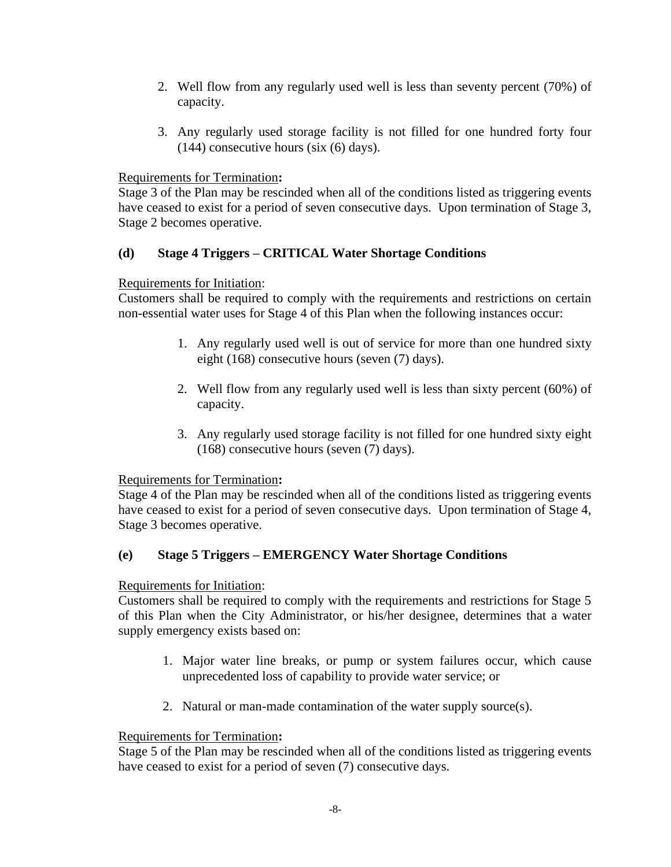- 2. Well flow from any regularly used well is less than seventy percent (70%) of capacity.
- 3. Any regularly used storage facility is not filled for one hundred forty four (144) consecutive hours (six (6) days).

# Requirements for Termination**:**

Stage 3 of the Plan may be rescinded when all of the conditions listed as triggering events have ceased to exist for a period of seven consecutive days. Upon termination of Stage 3, Stage 2 becomes operative.

# **(d) Stage 4 Triggers – CRITICAL Water Shortage Conditions**

### Requirements for Initiation:

Customers shall be required to comply with the requirements and restrictions on certain non-essential water uses for Stage 4 of this Plan when the following instances occur:

- 1. Any regularly used well is out of service for more than one hundred sixty eight (168) consecutive hours (seven (7) days).
- 2. Well flow from any regularly used well is less than sixty percent (60%) of capacity.
- 3. Any regularly used storage facility is not filled for one hundred sixty eight (168) consecutive hours (seven (7) days).

### Requirements for Termination**:**

Stage 4 of the Plan may be rescinded when all of the conditions listed as triggering events have ceased to exist for a period of seven consecutive days. Upon termination of Stage 4, Stage 3 becomes operative.

# **(e) Stage 5 Triggers – EMERGENCY Water Shortage Conditions**

### Requirements for Initiation:

Customers shall be required to comply with the requirements and restrictions for Stage 5 of this Plan when the City Administrator, or his/her designee, determines that a water supply emergency exists based on:

- 1. Major water line breaks, or pump or system failures occur, which cause unprecedented loss of capability to provide water service; or
- 2. Natural or man-made contamination of the water supply source(s).

### Requirements for Termination**:**

Stage 5 of the Plan may be rescinded when all of the conditions listed as triggering events have ceased to exist for a period of seven (7) consecutive days.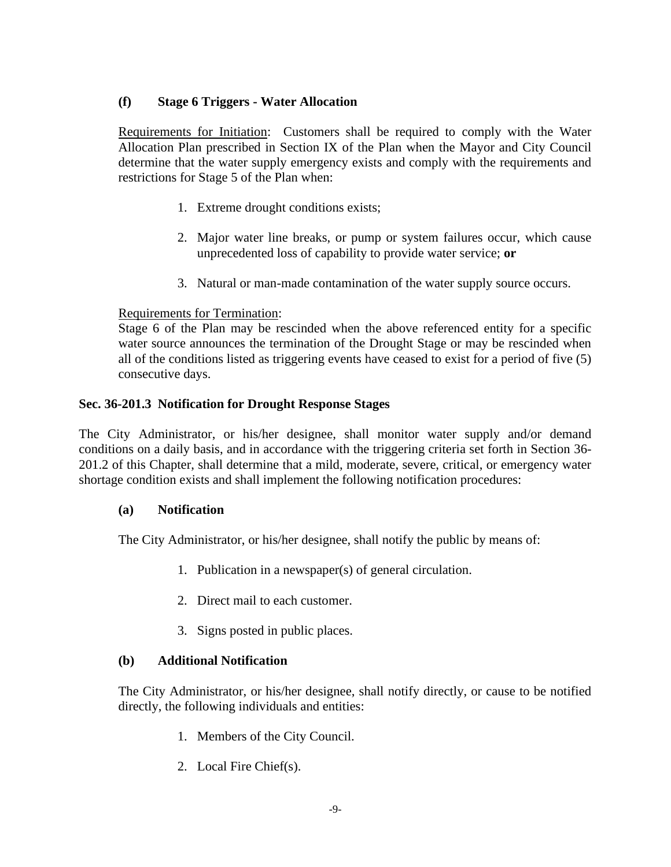### **(f) Stage 6 Triggers - Water Allocation**

Requirements for Initiation: Customers shall be required to comply with the Water Allocation Plan prescribed in Section IX of the Plan when the Mayor and City Council determine that the water supply emergency exists and comply with the requirements and restrictions for Stage 5 of the Plan when:

- 1. Extreme drought conditions exists;
- 2. Major water line breaks, or pump or system failures occur, which cause unprecedented loss of capability to provide water service; **or**
- 3. Natural or man-made contamination of the water supply source occurs.

### Requirements for Termination:

Stage 6 of the Plan may be rescinded when the above referenced entity for a specific water source announces the termination of the Drought Stage or may be rescinded when all of the conditions listed as triggering events have ceased to exist for a period of five (5) consecutive days.

### **Sec. 36-201.3 Notification for Drought Response Stages**

The City Administrator, or his/her designee, shall monitor water supply and/or demand conditions on a daily basis, and in accordance with the triggering criteria set forth in Section 36- 201.2 of this Chapter, shall determine that a mild, moderate, severe, critical, or emergency water shortage condition exists and shall implement the following notification procedures:

### **(a) Notification**

The City Administrator, or his/her designee, shall notify the public by means of:

- 1. Publication in a newspaper(s) of general circulation.
- 2. Direct mail to each customer.
- 3. Signs posted in public places.

### **(b) Additional Notification**

The City Administrator, or his/her designee, shall notify directly, or cause to be notified directly, the following individuals and entities:

- 1. Members of the City Council.
- 2. Local Fire Chief(s).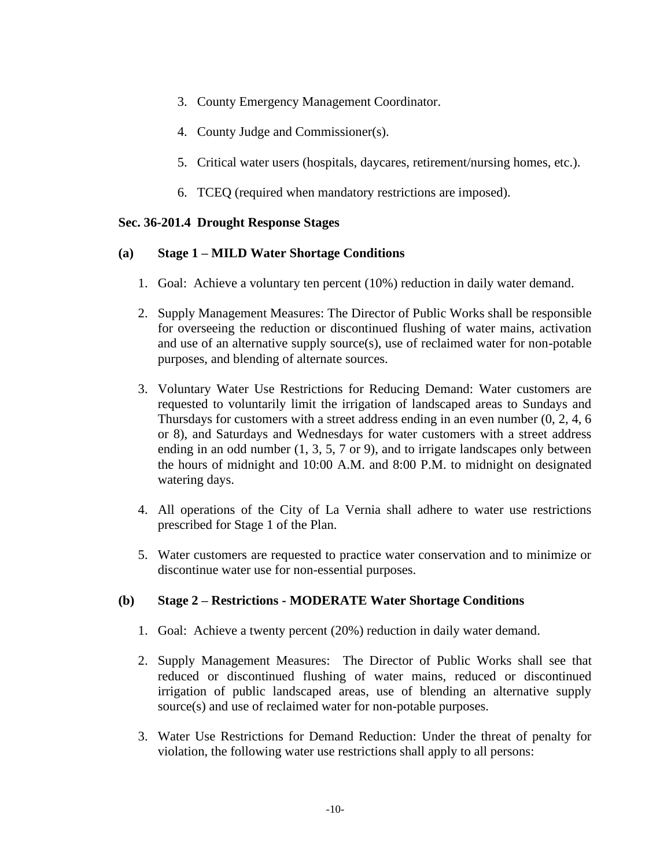- 3. County Emergency Management Coordinator.
- 4. County Judge and Commissioner(s).
- 5. Critical water users (hospitals, daycares, retirement/nursing homes, etc.).
- 6. TCEQ (required when mandatory restrictions are imposed).

### **Sec. 36-201.4 Drought Response Stages**

### **(a) Stage 1 – MILD Water Shortage Conditions**

- 1. Goal: Achieve a voluntary ten percent (10%) reduction in daily water demand.
- 2. Supply Management Measures: The Director of Public Works shall be responsible for overseeing the reduction or discontinued flushing of water mains, activation and use of an alternative supply source(s), use of reclaimed water for non-potable purposes, and blending of alternate sources.
- 3. Voluntary Water Use Restrictions for Reducing Demand: Water customers are requested to voluntarily limit the irrigation of landscaped areas to Sundays and Thursdays for customers with a street address ending in an even number (0, 2, 4, 6 or 8), and Saturdays and Wednesdays for water customers with a street address ending in an odd number (1, 3, 5, 7 or 9), and to irrigate landscapes only between the hours of midnight and 10:00 A.M. and 8:00 P.M. to midnight on designated watering days.
- 4. All operations of the City of La Vernia shall adhere to water use restrictions prescribed for Stage 1 of the Plan.
- 5. Water customers are requested to practice water conservation and to minimize or discontinue water use for non-essential purposes.

### **(b) Stage 2 – Restrictions - MODERATE Water Shortage Conditions**

- 1. Goal: Achieve a twenty percent (20%) reduction in daily water demand.
- 2. Supply Management Measures: The Director of Public Works shall see that reduced or discontinued flushing of water mains, reduced or discontinued irrigation of public landscaped areas, use of blending an alternative supply source(s) and use of reclaimed water for non-potable purposes.
- 3. Water Use Restrictions for Demand Reduction: Under the threat of penalty for violation, the following water use restrictions shall apply to all persons: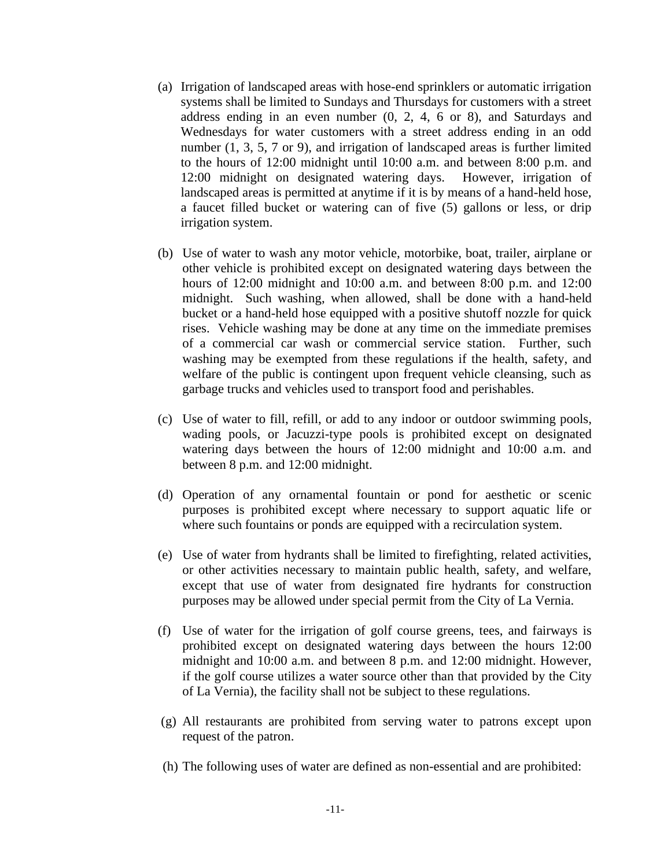- (a) Irrigation of landscaped areas with hose-end sprinklers or automatic irrigation systems shall be limited to Sundays and Thursdays for customers with a street address ending in an even number (0, 2, 4, 6 or 8), and Saturdays and Wednesdays for water customers with a street address ending in an odd number (1, 3, 5, 7 or 9), and irrigation of landscaped areas is further limited to the hours of 12:00 midnight until 10:00 a.m. and between 8:00 p.m. and 12:00 midnight on designated watering days. However, irrigation of landscaped areas is permitted at anytime if it is by means of a hand-held hose, a faucet filled bucket or watering can of five (5) gallons or less, or drip irrigation system.
- (b) Use of water to wash any motor vehicle, motorbike, boat, trailer, airplane or other vehicle is prohibited except on designated watering days between the hours of 12:00 midnight and 10:00 a.m. and between 8:00 p.m. and 12:00 midnight. Such washing, when allowed, shall be done with a hand-held bucket or a hand-held hose equipped with a positive shutoff nozzle for quick rises. Vehicle washing may be done at any time on the immediate premises of a commercial car wash or commercial service station. Further, such washing may be exempted from these regulations if the health, safety, and welfare of the public is contingent upon frequent vehicle cleansing, such as garbage trucks and vehicles used to transport food and perishables.
- (c) Use of water to fill, refill, or add to any indoor or outdoor swimming pools, wading pools, or Jacuzzi-type pools is prohibited except on designated watering days between the hours of 12:00 midnight and 10:00 a.m. and between 8 p.m. and 12:00 midnight.
- (d) Operation of any ornamental fountain or pond for aesthetic or scenic purposes is prohibited except where necessary to support aquatic life or where such fountains or ponds are equipped with a recirculation system.
- (e) Use of water from hydrants shall be limited to firefighting, related activities, or other activities necessary to maintain public health, safety, and welfare, except that use of water from designated fire hydrants for construction purposes may be allowed under special permit from the City of La Vernia.
- (f) Use of water for the irrigation of golf course greens, tees, and fairways is prohibited except on designated watering days between the hours 12:00 midnight and 10:00 a.m. and between 8 p.m. and 12:00 midnight. However, if the golf course utilizes a water source other than that provided by the City of La Vernia), the facility shall not be subject to these regulations.
- (g) All restaurants are prohibited from serving water to patrons except upon request of the patron.
- (h) The following uses of water are defined as non-essential and are prohibited: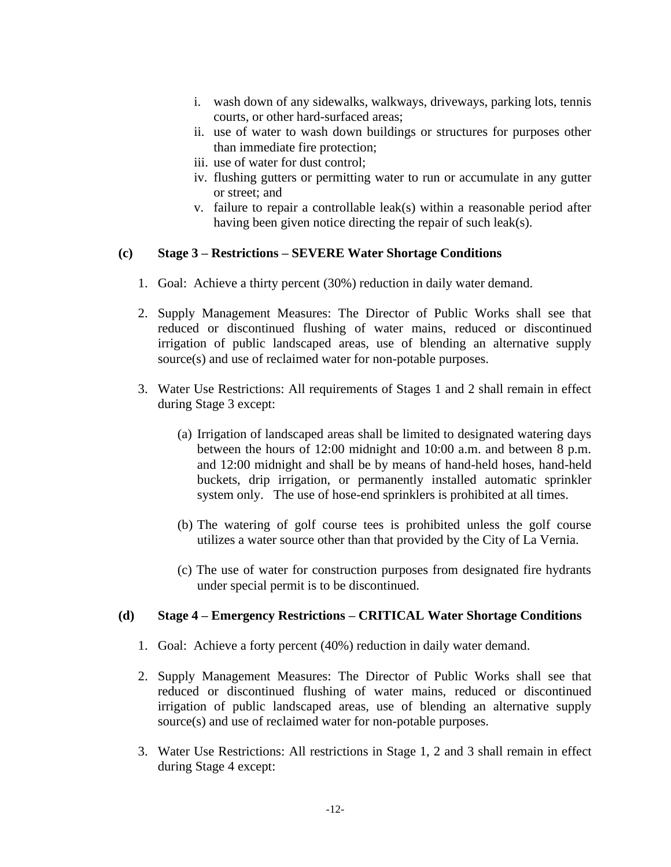- i. wash down of any sidewalks, walkways, driveways, parking lots, tennis courts, or other hard-surfaced areas;
- ii. use of water to wash down buildings or structures for purposes other than immediate fire protection;
- iii. use of water for dust control;
- iv. flushing gutters or permitting water to run or accumulate in any gutter or street; and
- v. failure to repair a controllable leak(s) within a reasonable period after having been given notice directing the repair of such leak(s).

### **(c) Stage 3 – Restrictions – SEVERE Water Shortage Conditions**

- 1. Goal: Achieve a thirty percent (30%) reduction in daily water demand.
- 2. Supply Management Measures: The Director of Public Works shall see that reduced or discontinued flushing of water mains, reduced or discontinued irrigation of public landscaped areas, use of blending an alternative supply source(s) and use of reclaimed water for non-potable purposes.
- 3. Water Use Restrictions: All requirements of Stages 1 and 2 shall remain in effect during Stage 3 except:
	- (a) Irrigation of landscaped areas shall be limited to designated watering days between the hours of 12:00 midnight and 10:00 a.m. and between 8 p.m. and 12:00 midnight and shall be by means of hand-held hoses, hand-held buckets, drip irrigation, or permanently installed automatic sprinkler system only. The use of hose-end sprinklers is prohibited at all times.
	- (b) The watering of golf course tees is prohibited unless the golf course utilizes a water source other than that provided by the City of La Vernia.
	- (c) The use of water for construction purposes from designated fire hydrants under special permit is to be discontinued.

### **(d) Stage 4 – Emergency Restrictions – CRITICAL Water Shortage Conditions**

- 1. Goal: Achieve a forty percent (40%) reduction in daily water demand.
- 2. Supply Management Measures: The Director of Public Works shall see that reduced or discontinued flushing of water mains, reduced or discontinued irrigation of public landscaped areas, use of blending an alternative supply source(s) and use of reclaimed water for non-potable purposes.
- 3. Water Use Restrictions: All restrictions in Stage 1, 2 and 3 shall remain in effect during Stage 4 except: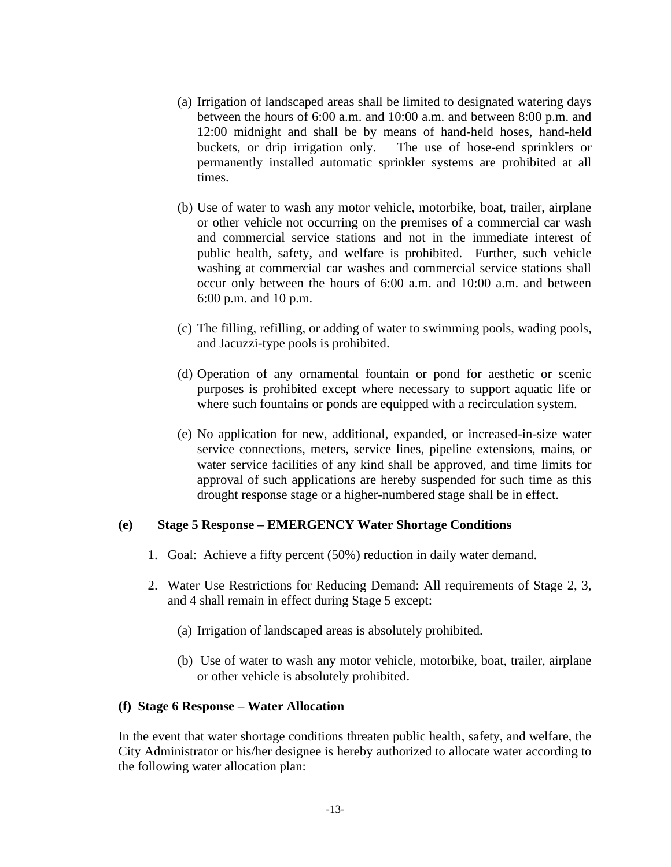- (a) Irrigation of landscaped areas shall be limited to designated watering days between the hours of 6:00 a.m. and 10:00 a.m. and between 8:00 p.m. and 12:00 midnight and shall be by means of hand-held hoses, hand-held buckets, or drip irrigation only. The use of hose-end sprinklers or permanently installed automatic sprinkler systems are prohibited at all times.
- (b) Use of water to wash any motor vehicle, motorbike, boat, trailer, airplane or other vehicle not occurring on the premises of a commercial car wash and commercial service stations and not in the immediate interest of public health, safety, and welfare is prohibited. Further, such vehicle washing at commercial car washes and commercial service stations shall occur only between the hours of 6:00 a.m. and 10:00 a.m. and between 6:00 p.m. and 10 p.m.
- (c) The filling, refilling, or adding of water to swimming pools, wading pools, and Jacuzzi-type pools is prohibited.
- (d) Operation of any ornamental fountain or pond for aesthetic or scenic purposes is prohibited except where necessary to support aquatic life or where such fountains or ponds are equipped with a recirculation system.
- (e) No application for new, additional, expanded, or increased-in-size water service connections, meters, service lines, pipeline extensions, mains, or water service facilities of any kind shall be approved, and time limits for approval of such applications are hereby suspended for such time as this drought response stage or a higher-numbered stage shall be in effect.

### **(e) Stage 5 Response – EMERGENCY Water Shortage Conditions**

- 1. Goal: Achieve a fifty percent (50%) reduction in daily water demand.
- 2. Water Use Restrictions for Reducing Demand: All requirements of Stage 2, 3, and 4 shall remain in effect during Stage 5 except:
	- (a) Irrigation of landscaped areas is absolutely prohibited.
	- (b) Use of water to wash any motor vehicle, motorbike, boat, trailer, airplane or other vehicle is absolutely prohibited.

### **(f) Stage 6 Response – Water Allocation**

In the event that water shortage conditions threaten public health, safety, and welfare, the City Administrator or his/her designee is hereby authorized to allocate water according to the following water allocation plan: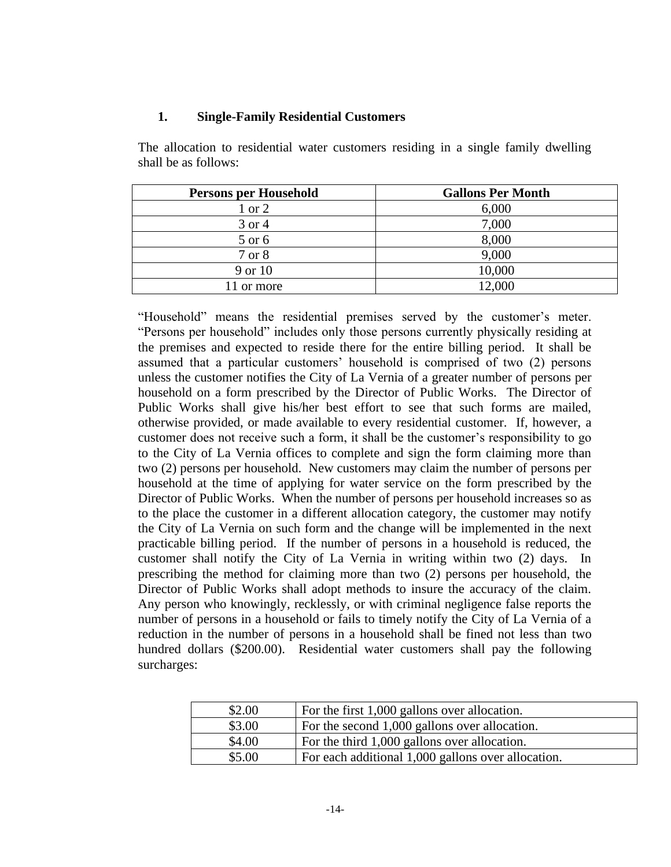### **1. Single-Family Residential Customers**

The allocation to residential water customers residing in a single family dwelling shall be as follows:

| <b>Persons per Household</b> | <b>Gallons Per Month</b> |
|------------------------------|--------------------------|
| $1$ or $2$                   | 6,000                    |
| 3 or 4                       | 7,000                    |
| 5 or 6                       | 8,000                    |
| 7 or 8                       | 9,000                    |
| 9 or 10                      | 10,000                   |
| or more                      | 12,000                   |

"Household" means the residential premises served by the customer's meter. "Persons per household" includes only those persons currently physically residing at the premises and expected to reside there for the entire billing period. It shall be assumed that a particular customers' household is comprised of two (2) persons unless the customer notifies the City of La Vernia of a greater number of persons per household on a form prescribed by the Director of Public Works. The Director of Public Works shall give his/her best effort to see that such forms are mailed, otherwise provided, or made available to every residential customer. If, however, a customer does not receive such a form, it shall be the customer's responsibility to go to the City of La Vernia offices to complete and sign the form claiming more than two (2) persons per household. New customers may claim the number of persons per household at the time of applying for water service on the form prescribed by the Director of Public Works. When the number of persons per household increases so as to the place the customer in a different allocation category, the customer may notify the City of La Vernia on such form and the change will be implemented in the next practicable billing period. If the number of persons in a household is reduced, the customer shall notify the City of La Vernia in writing within two (2) days. In prescribing the method for claiming more than two (2) persons per household, the Director of Public Works shall adopt methods to insure the accuracy of the claim. Any person who knowingly, recklessly, or with criminal negligence false reports the number of persons in a household or fails to timely notify the City of La Vernia of a reduction in the number of persons in a household shall be fined not less than two hundred dollars (\$200.00). Residential water customers shall pay the following surcharges:

| \$2.00 | For the first 1,000 gallons over allocation.       |
|--------|----------------------------------------------------|
| \$3.00 | For the second 1,000 gallons over allocation.      |
| \$4.00 | For the third 1,000 gallons over allocation.       |
| \$5.00 | For each additional 1,000 gallons over allocation. |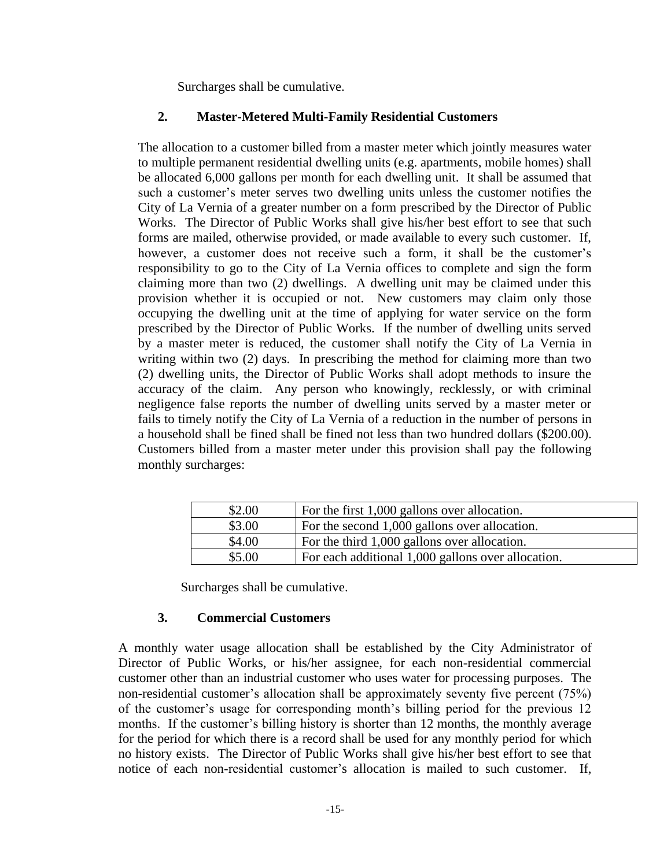Surcharges shall be cumulative.

### **2. Master-Metered Multi-Family Residential Customers**

The allocation to a customer billed from a master meter which jointly measures water to multiple permanent residential dwelling units (e.g. apartments, mobile homes) shall be allocated 6,000 gallons per month for each dwelling unit. It shall be assumed that such a customer's meter serves two dwelling units unless the customer notifies the City of La Vernia of a greater number on a form prescribed by the Director of Public Works. The Director of Public Works shall give his/her best effort to see that such forms are mailed, otherwise provided, or made available to every such customer. If, however, a customer does not receive such a form, it shall be the customer's responsibility to go to the City of La Vernia offices to complete and sign the form claiming more than two (2) dwellings. A dwelling unit may be claimed under this provision whether it is occupied or not. New customers may claim only those occupying the dwelling unit at the time of applying for water service on the form prescribed by the Director of Public Works. If the number of dwelling units served by a master meter is reduced, the customer shall notify the City of La Vernia in writing within two (2) days. In prescribing the method for claiming more than two (2) dwelling units, the Director of Public Works shall adopt methods to insure the accuracy of the claim. Any person who knowingly, recklessly, or with criminal negligence false reports the number of dwelling units served by a master meter or fails to timely notify the City of La Vernia of a reduction in the number of persons in a household shall be fined shall be fined not less than two hundred dollars (\$200.00). Customers billed from a master meter under this provision shall pay the following monthly surcharges:

| \$2.00 | For the first 1,000 gallons over allocation.       |
|--------|----------------------------------------------------|
| \$3.00 | For the second 1,000 gallons over allocation.      |
| \$4.00 | For the third 1,000 gallons over allocation.       |
| \$5.00 | For each additional 1,000 gallons over allocation. |

Surcharges shall be cumulative.

# **3. Commercial Customers**

A monthly water usage allocation shall be established by the City Administrator of Director of Public Works, or his/her assignee, for each non-residential commercial customer other than an industrial customer who uses water for processing purposes. The non-residential customer's allocation shall be approximately seventy five percent (75%) of the customer's usage for corresponding month's billing period for the previous 12 months. If the customer's billing history is shorter than 12 months, the monthly average for the period for which there is a record shall be used for any monthly period for which no history exists. The Director of Public Works shall give his/her best effort to see that notice of each non-residential customer's allocation is mailed to such customer. If,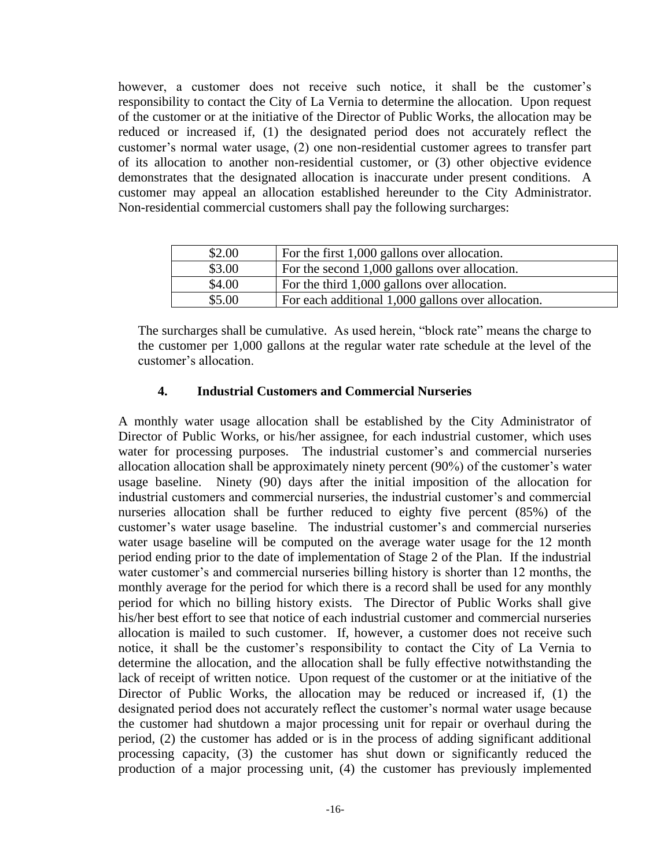however, a customer does not receive such notice, it shall be the customer's responsibility to contact the City of La Vernia to determine the allocation. Upon request of the customer or at the initiative of the Director of Public Works, the allocation may be reduced or increased if, (1) the designated period does not accurately reflect the customer's normal water usage, (2) one non-residential customer agrees to transfer part of its allocation to another non-residential customer, or (3) other objective evidence demonstrates that the designated allocation is inaccurate under present conditions. A customer may appeal an allocation established hereunder to the City Administrator. Non-residential commercial customers shall pay the following surcharges:

| \$2.00 | For the first 1,000 gallons over allocation.       |
|--------|----------------------------------------------------|
| \$3.00 | For the second 1,000 gallons over allocation.      |
| \$4.00 | For the third 1,000 gallons over allocation.       |
| \$5.00 | For each additional 1,000 gallons over allocation. |

The surcharges shall be cumulative. As used herein, "block rate" means the charge to the customer per 1,000 gallons at the regular water rate schedule at the level of the customer's allocation.

### **4. Industrial Customers and Commercial Nurseries**

A monthly water usage allocation shall be established by the City Administrator of Director of Public Works, or his/her assignee, for each industrial customer, which uses water for processing purposes. The industrial customer's and commercial nurseries allocation allocation shall be approximately ninety percent (90%) of the customer's water usage baseline. Ninety (90) days after the initial imposition of the allocation for industrial customers and commercial nurseries, the industrial customer's and commercial nurseries allocation shall be further reduced to eighty five percent (85%) of the customer's water usage baseline. The industrial customer's and commercial nurseries water usage baseline will be computed on the average water usage for the 12 month period ending prior to the date of implementation of Stage 2 of the Plan. If the industrial water customer's and commercial nurseries billing history is shorter than 12 months, the monthly average for the period for which there is a record shall be used for any monthly period for which no billing history exists. The Director of Public Works shall give his/her best effort to see that notice of each industrial customer and commercial nurseries allocation is mailed to such customer. If, however, a customer does not receive such notice, it shall be the customer's responsibility to contact the City of La Vernia to determine the allocation, and the allocation shall be fully effective notwithstanding the lack of receipt of written notice. Upon request of the customer or at the initiative of the Director of Public Works, the allocation may be reduced or increased if, (1) the designated period does not accurately reflect the customer's normal water usage because the customer had shutdown a major processing unit for repair or overhaul during the period, (2) the customer has added or is in the process of adding significant additional processing capacity, (3) the customer has shut down or significantly reduced the production of a major processing unit, (4) the customer has previously implemented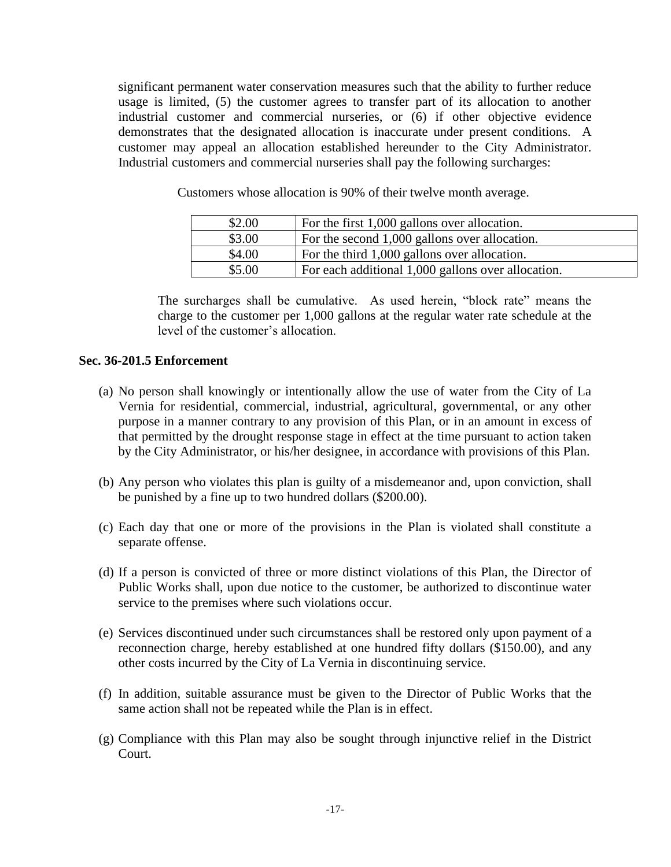significant permanent water conservation measures such that the ability to further reduce usage is limited, (5) the customer agrees to transfer part of its allocation to another industrial customer and commercial nurseries, or (6) if other objective evidence demonstrates that the designated allocation is inaccurate under present conditions. A customer may appeal an allocation established hereunder to the City Administrator. Industrial customers and commercial nurseries shall pay the following surcharges:

| \$2.00 | For the first 1,000 gallons over allocation.       |
|--------|----------------------------------------------------|
| \$3.00 | For the second 1,000 gallons over allocation.      |
| \$4.00 | For the third 1,000 gallons over allocation.       |
| \$5.00 | For each additional 1,000 gallons over allocation. |

Customers whose allocation is 90% of their twelve month average.

The surcharges shall be cumulative. As used herein, "block rate" means the charge to the customer per 1,000 gallons at the regular water rate schedule at the level of the customer's allocation.

#### **Sec. 36-201.5 Enforcement**

- (a) No person shall knowingly or intentionally allow the use of water from the City of La Vernia for residential, commercial, industrial, agricultural, governmental, or any other purpose in a manner contrary to any provision of this Plan, or in an amount in excess of that permitted by the drought response stage in effect at the time pursuant to action taken by the City Administrator, or his/her designee, in accordance with provisions of this Plan.
- (b) Any person who violates this plan is guilty of a misdemeanor and, upon conviction, shall be punished by a fine up to two hundred dollars (\$200.00).
- (c) Each day that one or more of the provisions in the Plan is violated shall constitute a separate offense.
- (d) If a person is convicted of three or more distinct violations of this Plan, the Director of Public Works shall, upon due notice to the customer, be authorized to discontinue water service to the premises where such violations occur.
- (e) Services discontinued under such circumstances shall be restored only upon payment of a reconnection charge, hereby established at one hundred fifty dollars (\$150.00), and any other costs incurred by the City of La Vernia in discontinuing service.
- (f) In addition, suitable assurance must be given to the Director of Public Works that the same action shall not be repeated while the Plan is in effect.
- (g) Compliance with this Plan may also be sought through injunctive relief in the District Court.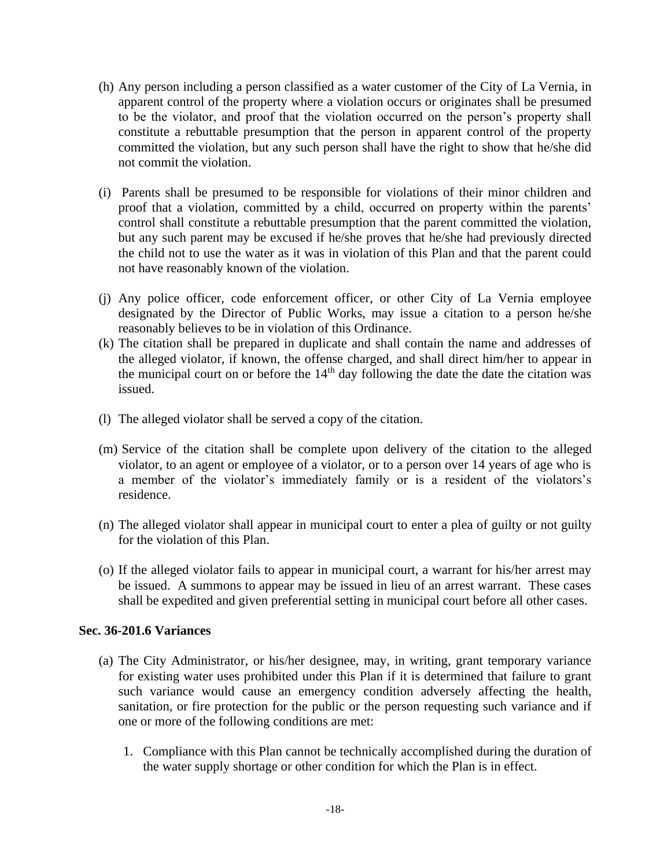- (h) Any person including a person classified as a water customer of the City of La Vernia, in apparent control of the property where a violation occurs or originates shall be presumed to be the violator, and proof that the violation occurred on the person's property shall constitute a rebuttable presumption that the person in apparent control of the property committed the violation, but any such person shall have the right to show that he/she did not commit the violation.
- (i) Parents shall be presumed to be responsible for violations of their minor children and proof that a violation, committed by a child, occurred on property within the parents' control shall constitute a rebuttable presumption that the parent committed the violation, but any such parent may be excused if he/she proves that he/she had previously directed the child not to use the water as it was in violation of this Plan and that the parent could not have reasonably known of the violation.
- (j) Any police officer, code enforcement officer, or other City of La Vernia employee designated by the Director of Public Works, may issue a citation to a person he/she reasonably believes to be in violation of this Ordinance.
- (k) The citation shall be prepared in duplicate and shall contain the name and addresses of the alleged violator, if known, the offense charged, and shall direct him/her to appear in the municipal court on or before the  $14<sup>th</sup>$  day following the date the date the citation was issued.
- (l) The alleged violator shall be served a copy of the citation.
- (m) Service of the citation shall be complete upon delivery of the citation to the alleged violator, to an agent or employee of a violator, or to a person over 14 years of age who is a member of the violator's immediately family or is a resident of the violators's residence.
- (n) The alleged violator shall appear in municipal court to enter a plea of guilty or not guilty for the violation of this Plan.
- (o) If the alleged violator fails to appear in municipal court, a warrant for his/her arrest may be issued. A summons to appear may be issued in lieu of an arrest warrant. These cases shall be expedited and given preferential setting in municipal court before all other cases.

# **Sec. 36-201.6 Variances**

- (a) The City Administrator, or his/her designee, may, in writing, grant temporary variance for existing water uses prohibited under this Plan if it is determined that failure to grant such variance would cause an emergency condition adversely affecting the health, sanitation, or fire protection for the public or the person requesting such variance and if one or more of the following conditions are met:
	- 1. Compliance with this Plan cannot be technically accomplished during the duration of the water supply shortage or other condition for which the Plan is in effect.